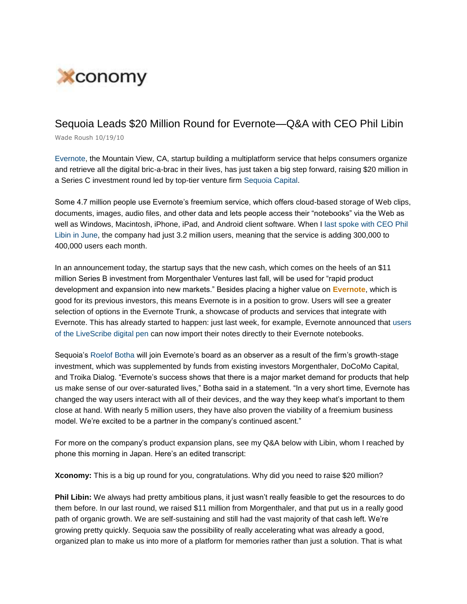

## Sequoia Leads \$20 Million Round for Evernote—Q&A with CEO Phil Libin

Wade Roush 10/19/10

Evernote, the Mountain View, CA, startup building a multiplatform service that helps consumers organize and retrieve all the digital bric-a-brac in their lives, has just taken a big step forward, raising \$20 million in a Series C investment round led by top-tier venture firm Sequoia Capital.

Some 4.7 million people use Evernote's freemium service, which offers cloud-based storage of Web clips, documents, images, audio files, and other data and lets people access their "notebooks" via the Web as well as Windows, Macintosh, iPhone, iPad, and Android client software. When I last spoke with CEO Phil Libin in June, the company had just 3.2 million users, meaning that the service is adding 300,000 to 400,000 users each month.

In an announcement today, the startup says that the new cash, which comes on the heels of an \$11 million Series B investment from Morgenthaler Ventures last fall, will be used for "rapid product development and expansion into new markets." Besides placing a higher value on **Evernote**, which is good for its previous investors, this means Evernote is in a position to grow. Users will see a greater selection of options in the Evernote Trunk, a showcase of products and services that integrate with Evernote. This has already started to happen: just last week, for example, Evernote announced that users of the LiveScribe digital pen can now import their notes directly to their Evernote notebooks.

Sequoia's Roelof Botha will join Evernote's board as an observer as a result of the firm's growth-stage investment, which was supplemented by funds from existing investors Morgenthaler, DoCoMo Capital, and Troika Dialog. "Evernote's success shows that there is a major market demand for products that help us make sense of our over-saturated lives," Botha said in a statement. "In a very short time, Evernote has changed the way users interact with all of their devices, and the way they keep what's important to them close at hand. With nearly 5 million users, they have also proven the viability of a freemium business model. We're excited to be a partner in the company's continued ascent."

For more on the company's product expansion plans, see my Q&A below with Libin, whom I reached by phone this morning in Japan. Here's an edited transcript:

**Xconomy:** This is a big up round for you, congratulations. Why did you need to raise \$20 million?

**Phil Libin:** We always had pretty ambitious plans, it just wasn't really feasible to get the resources to do them before. In our last round, we raised \$11 million from Morgenthaler, and that put us in a really good path of organic growth. We are self-sustaining and still had the vast majority of that cash left. We're growing pretty quickly. Sequoia saw the possibility of really accelerating what was already a good, organized plan to make us into more of a platform for memories rather than just a solution. That is what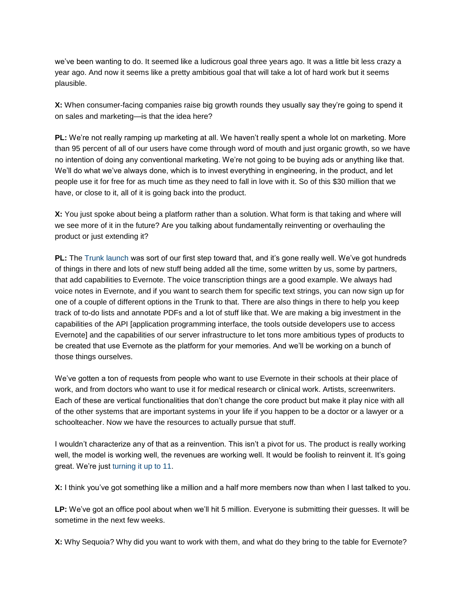we've been wanting to do. It seemed like a ludicrous goal three years ago. It was a little bit less crazy a year ago. And now it seems like a pretty ambitious goal that will take a lot of hard work but it seems plausible.

**X:** When consumer-facing companies raise big growth rounds they usually say they're going to spend it on sales and marketing—is that the idea here?

**PL:** We're not really ramping up marketing at all. We haven't really spent a whole lot on marketing. More than 95 percent of all of our users have come through word of mouth and just organic growth, so we have no intention of doing any conventional marketing. We're not going to be buying ads or anything like that. We'll do what we've always done, which is to invest everything in engineering, in the product, and let people use it for free for as much time as they need to fall in love with it. So of this \$30 million that we have, or close to it, all of it is going back into the product.

**X:** You just spoke about being a platform rather than a solution. What form is that taking and where will we see more of it in the future? Are you talking about fundamentally reinventing or overhauling the product or just extending it?

**PL:** The Trunk launch was sort of our first step toward that, and it's gone really well. We've got hundreds of things in there and lots of new stuff being added all the time, some written by us, some by partners, that add capabilities to Evernote. The voice transcription things are a good example. We always had voice notes in Evernote, and if you want to search them for specific text strings, you can now sign up for one of a couple of different options in the Trunk to that. There are also things in there to help you keep track of to-do lists and annotate PDFs and a lot of stuff like that. We are making a big investment in the capabilities of the API [application programming interface, the tools outside developers use to access Evernote] and the capabilities of our server infrastructure to let tons more ambitious types of products to be created that use Evernote as the platform for your memories. And we'll be working on a bunch of those things ourselves.

We've gotten a ton of requests from people who want to use Evernote in their schools at their place of work, and from doctors who want to use it for medical research or clinical work. Artists, screenwriters. Each of these are vertical functionalities that don't change the core product but make it play nice with all of the other systems that are important systems in your life if you happen to be a doctor or a lawyer or a schoolteacher. Now we have the resources to actually pursue that stuff.

I wouldn't characterize any of that as a reinvention. This isn't a pivot for us. The product is really working well, the model is working well, the revenues are working well. It would be foolish to reinvent it. It's going great. We're just turning it up to 11.

**X:** I think you've got something like a million and a half more members now than when I last talked to you.

**LP:** We've got an office pool about when we'll hit 5 million. Everyone is submitting their guesses. It will be sometime in the next few weeks.

**X:** Why Sequoia? Why did you want to work with them, and what do they bring to the table for Evernote?